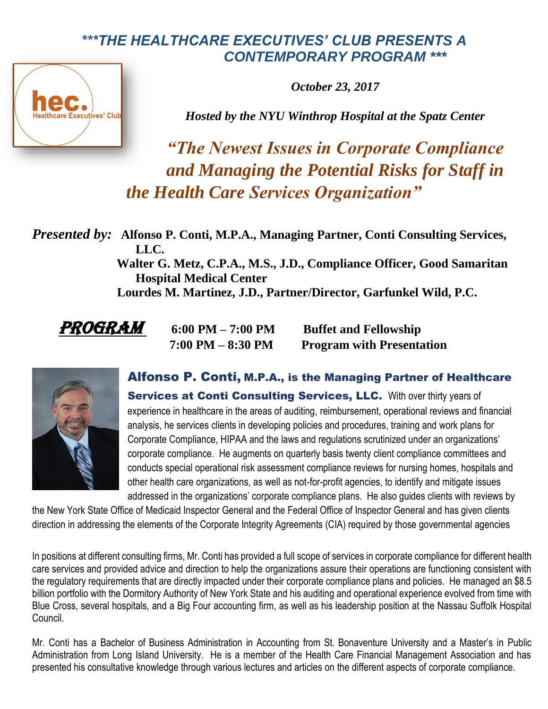## *\*\*\*THE HEALTHCARE EXECUTIVES' CLUB PRESENTS A CONTEMPORARY PROGRAM \*\*\**



*October 23, 2017*

*Hosted by the NYU Winthrop Hospital at the Spatz Center* 

*"The Newest Issues in Corporate Compliance and Managing the Potential Risks for Staff in the Health Care Services Organization"*

*Presented by:* **Alfonso P. Conti, M.P.A., Managing Partner, Conti Consulting Services, LLC.**

 **Walter G. Metz, C.P.A., M.S., J.D., Compliance Officer, Good Samaritan Hospital Medical Center** 

 **Lourdes M. Martinez, J.D., Partner/Director, Garfunkel Wild, P.C.** 

*PROGRAM* 6:00 PM – 7:00 PM Buffet and Fellowship  **7:00 PM – 8:30 PM Program with Presentation**



Alfonso P. Conti, M.P.A., is the Managing Partner of Healthcare Services at Conti Consulting Services, LLC. With over thirty years of experience in healthcare in the areas of auditing, reimbursement, operational reviews and financial analysis, he services clients in developing policies and procedures, training and work plans for Corporate Compliance, HIPAA and the laws and regulations scrutinized under an organizations' corporate compliance. He augments on quarterly basis twenty client compliance committees and conducts special operational risk assessment compliance reviews for nursing homes, hospitals and other health care organizations, as well as not-for-profit agencies, to identify and mitigate issues addressed in the organizations' corporate compliance plans. He also guides clients with reviews by

the New York State Office of Medicaid Inspector General and the Federal Office of Inspector General and has given clients direction in addressing the elements of the Corporate Integrity Agreements (CIA) required by those governmental agencies

In positions at different consulting firms, Mr. Conti has provided a full scope of services in corporate compliance for different health care services and provided advice and direction to help the organizations assure their operations are functioning consistent with the regulatory requirements that are directly impacted under their corporate compliance plans and policies. He managed an \$8.5 billion portfolio with the Dormitory Authority of New York State and his auditing and operational experience evolved from time with Blue Cross, several hospitals, and a Big Four accounting firm, as well as his leadership position at the Nassau Suffolk Hospital Council.

Mr. Conti has a Bachelor of Business Administration in Accounting from St. Bonaventure University and a Master's in Public Administration from Long Island University. He is a member of the Health Care Financial Management Association and has presented his consultative knowledge through various lectures and articles on the different aspects of corporate compliance.